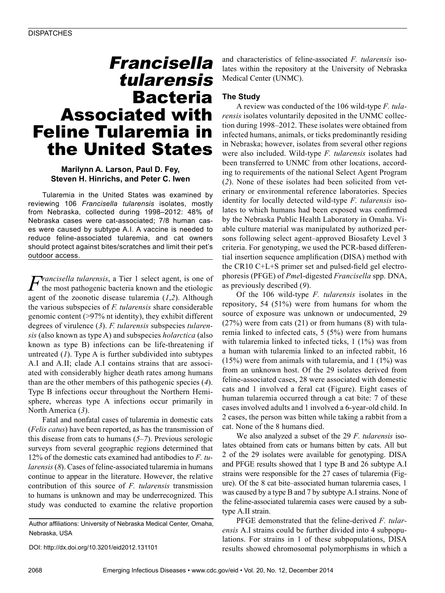# Francisella tularensis Bacteria Associated with Feline Tularemia in the United States

## **Marilynn A. Larson, Paul D. Fey, Steven H. Hinrichs, and Peter C. Iwen**

Tularemia in the United States was examined by reviewing 106 *Francisella tularensis* isolates, mostly from Nebraska, collected during 1998–2012: 48% of Nebraska cases were cat-associated; 7/8 human cases were caused by subtype A.I. A vaccine is needed to reduce feline-associated tularemia, and cat owners should protect against bites/scratches and limit their pet's outdoor access.

*Francisella tularensis*, a Tier 1 select agent, is one of the most pathogenic bacteria known and the etiologic agent of the zoonotic disease tularemia (*1*,*2*). Although the various subspecies of *F. tularensis* share considerable genomic content (>97% nt identity), they exhibit different degrees of virulence (*3*). *F. tularensis* subspecies *tularensis* (also known as type A) and subspecies *holarctica* (also known as type B) infections can be life-threatening if untreated (*1*). Type A is further subdivided into subtypes A.I and A.II; clade A.I contains strains that are associated with considerably higher death rates among humans than are the other members of this pathogenic species (*4*). Type B infections occur throughout the Northern Hemisphere, whereas type A infections occur primarily in North America (*3*).

Fatal and nonfatal cases of tularemia in domestic cats (*Felis catus*) have been reported, as has the transmission of this disease from cats to humans (*5*–*7*). Previous serologic surveys from several geographic regions determined that 12% of the domestic cats examined had antibodies to *F. tularensis* (*8*). Cases of feline-associated tularemia in humans continue to appear in the literature. However, the relative contribution of this source of *F. tularensis* transmission to humans is unknown and may be underrecognized. This study was conducted to examine the relative proportion

Author affiliations: University of Nebraska Medical Center, Omaha, Nebraska, USA

DOI: http://dx.doi.org/10.3201/eid2012.131101

and characteristics of feline-associated *F. tularensis* isolates within the repository at the University of Nebraska Medical Center (UNMC).

## **The Study**

A review was conducted of the 106 wild-type *F. tularensis* isolates voluntarily deposited in the UNMC collection during 1998–2012. These isolates were obtained from infected humans, animals, or ticks predominantly residing in Nebraska; however, isolates from several other regions were also included. Wild-type *F. tularensis* isolates had been transferred to UNMC from other locations, according to requirements of the national Select Agent Program (*2*). None of these isolates had been solicited from veterinary or environmental reference laboratories. Species identity for locally detected wild-type *F. tularensis* isolates to which humans had been exposed was confirmed by the Nebraska Public Health Laboratory in Omaha. Viable culture material was manipulated by authorized persons following select agent–approved Biosafety Level 3 criteria. For genotyping, we used the PCR-based differential insertion sequence amplification (DISA) method with the CR10 C+L+S primer set and pulsed-field gel electrophoresis (PFGE) of *Pme*I-digested *Francisella* spp. DNA, as previously described (*9*).

Of the 106 wild-type *F. tularensis* isolates in the repository, 54 (51%) were from humans for whom the source of exposure was unknown or undocumented, 29  $(27%)$  were from cats  $(21)$  or from humans  $(8)$  with tularemia linked to infected cats, 5 (5%) were from humans with tularemia linked to infected ticks, 1 (1%) was from a human with tularemia linked to an infected rabbit, 16  $(15%)$  were from animals with tularemia, and 1  $(1%)$  was from an unknown host. Of the 29 isolates derived from feline-associated cases, 28 were associated with domestic cats and 1 involved a feral cat (Figure). Eight cases of human tularemia occurred through a cat bite: 7 of these cases involved adults and 1 involved a 6-year-old child. In 2 cases, the person was bitten while taking a rabbit from a cat. None of the 8 humans died.

We also analyzed a subset of the 29 *F. tularensis* isolates obtained from cats or humans bitten by cats. All but 2 of the 29 isolates were available for genotyping. DISA and PFGE results showed that 1 type B and 26 subtype A.I strains were responsible for the 27 cases of tularemia (Figure). Of the 8 cat bite–associated human tularemia cases, 1 was caused by a type B and 7 by subtype A.I strains. None of the feline-associated tularemia cases were caused by a subtype A.II strain.

PFGE demonstrated that the feline-derived *F. tularensis* A.I strains could be further divided into 4 subpopulations. For strains in 1 of these subpopulations, DISA results showed chromosomal polymorphisms in which a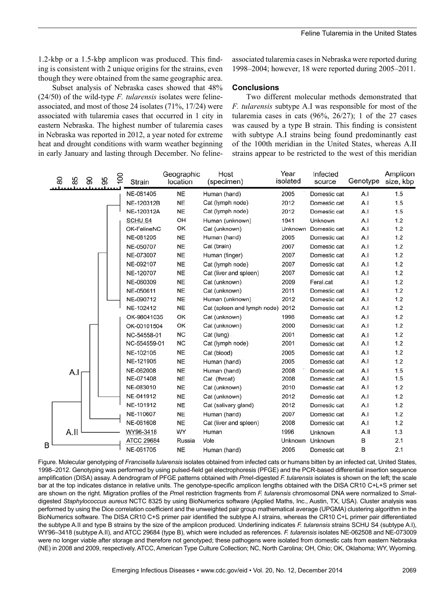1.2-kbp or a 1.5-kbp amplicon was produced. This finding is consistent with 2 unique origins for the strains, even though they were obtained from the same geographic area.

Subset analysis of Nebraska cases showed that 48% (24/50) of the wild-type *F. tularensis* isolates were felineassociated, and most of those 24 isolates (71%, 17/24) were associated with tularemia cases that occurred in 1 city in eastern Nebraska. The highest number of tularemia cases in Nebraska was reported in 2012, a year noted for extreme heat and drought conditions with warm weather beginning in early January and lasting through December. No felineassociated tularemia cases in Nebraska were reported during 1998–2004; however, 18 were reported during 2005–2011.

### **Conclusions**

Two different molecular methods demonstrated that *F. tularensis* subtype A.I was responsible for most of the tularemia cases in cats  $(96\%, 26/27)$ ; 1 of the 27 cases was caused by a type B strain. This finding is consistent with subtype A.I strains being found predominantly east of the 100th meridian in the United States, whereas A.II strains appear to be restricted to the west of this meridian

| 80 | 85<br>န္တ | $\overline{100}$<br>95 | Strain            | Geographic<br>location | Host<br>(specimen)          | Year<br>isolated | Infected<br>source | Genotype | Amplicon<br>size, kbp |
|----|-----------|------------------------|-------------------|------------------------|-----------------------------|------------------|--------------------|----------|-----------------------|
|    |           |                        | NE-081405         | <b>NE</b>              | Human (hand)                | 2005             | Domestic cat       | A.I      | 1.5                   |
|    |           |                        | NE-120312B        | <b>NE</b>              | Cat (lymph node)            | 2012             | Domestic cat       | A.I      | 1.5                   |
|    |           |                        | NE-120312A        | <b>NE</b>              | Cat (lymph node)            | 2012             | Domestic cat       | A.I      | 1.5                   |
|    |           |                        | <b>SCHU S4</b>    | OH                     | Human (unknown)             | 1941             | Unknown            | A.I      | 1.2                   |
|    |           |                        | OK-FelineNC       | OK                     | Cat (unknown)               | Unknown          | Domestic cat       | A.I      | 1.2                   |
|    |           |                        | NE-081205         | <b>NE</b>              | Human (hand)                | 2005             | Domestic cat       | A.I      | 1.2                   |
|    |           |                        | NE-050707         | <b>NE</b>              | Cat (brain)                 | 2007             | Domestic cat       | A.I      | 1.2                   |
|    |           |                        | NE-073007         | <b>NE</b>              | Human (finger)              | 2007             | Domestic cat       | A.I      | 1.2                   |
|    |           |                        | NE-092107         | <b>NE</b>              | Cat (lymph node)            | 2007             | Domestic cat       | A.I      | 1.2                   |
|    |           |                        | NE-120707         | <b>NE</b>              | Cat (liver and spleen)      | 2007             | Domestic cat       | A.I      | 1.2                   |
|    |           |                        | NE-060309         | <b>NE</b>              | Cat (unknown)               | 2009             | Feral.cat          | A.I      | 1.2                   |
|    |           |                        | NE-050611         | <b>NE</b>              | Cat (unknown)               | 2011             | Domestic cat       | A.I      | 1.2                   |
|    |           |                        | NE-090712         | <b>NE</b>              | Human (unknown)             | 2012             | Domestic cat       | A.I      | 1.2                   |
|    |           |                        | NE-102412         | <b>NE</b>              | Cat (spleen and lymph node) | 2012             | Domestic cat       | A.I      | 1.2                   |
|    |           |                        | OK-98041035       | OK                     | Cat (unknown)               | 1998             | Domestic cat       | A.I      | 1.2                   |
|    |           |                        | OK-00101504       | OK                     | Cat (unknown)               | 2000             | Domestic cat       | A.I      | 1.2                   |
|    |           |                        | NC-54558-01       | <b>NC</b>              | $Cat$ (lung)                | 2001             | Domestic cat       | A.I      | 1.2                   |
|    |           |                        | NC-554559-01      | <b>NC</b>              | Cat (lymph node)            | 2001             | Domestic cat       | A.I      | 1.2                   |
|    |           |                        | NE-102105         | <b>NE</b>              | Cat (blood)                 | 2005             | Domestic cat       | A.I      | 1.2                   |
|    |           |                        | NE-121905         | <b>NE</b>              | Human (hand)                | 2005             | Domestic cat       | A.I      | 1.2                   |
|    | A.I       |                        | NE-062008         | <b>NE</b>              | Human (hand)                | 2008             | Domestic cat       | A.I      | 1.5                   |
|    |           |                        | NE-071408         | <b>NE</b>              | Cat (throat)                | 2008             | Domestic cat       | A.I      | 1.5                   |
|    |           |                        | NE-083010         | <b>NE</b>              | Cat (unknown)               | 2010             | Domestic cat       | A.I      | 1.2                   |
|    |           |                        | NE-041912         | <b>NE</b>              | Cat (unknown)               | 2012             | Domestic cat       | A.I      | 1.2                   |
|    |           |                        | NE-101912         | <b>NE</b>              | Cat (salivary gland)        | 2012             | Domestic cat       | A.I      | 1.2                   |
|    |           |                        | NE-110607         | <b>NE</b>              | Human (hand)                | 2007             | Domestic cat       | A.I      | 1.2                   |
|    |           |                        | NE-061608         | <b>NE</b>              | Cat (liver and spleen)      | 2008             | Domestic cat       | A.I      | 1.2                   |
|    | A.II      |                        | WY96-3418         | WY                     | Human                       | 1996             | Unknown            | A.II     | 1.3                   |
|    |           |                        | <b>ATCC 29684</b> | Russia                 | Vole                        | Unknown          | Unknown            | B        | 2.1                   |
| B  |           |                        | NE-061705         | <b>NE</b>              | Human (hand)                | 2005             | Domestic cat       | B        | 2.1                   |

Figure. Molecular genotyping of *Francisella tularensis* isolates obtained from infected cats or humans bitten by an infected cat, United States, 1998–2012. Genotyping was performed by using pulsed-field gel electrophoresis (PFGE) and the PCR-based differential insertion sequence amplification (DISA) assay. A dendrogram of PFGE patterns obtained with *Pme*I-digested *F. tularensis* isolates is shown on the left; the scale bar at the top indicates distance in relative units. The genotype-specific amplicon lengths obtained with the DISA CR10 C+L+S primer set are shown on the right. Migration profiles of the *Pme*I restriction fragments from *F. tularensis* chromosomal DNA were normalized to *Sma*Idigested *Staphylococcus aureus* NCTC 8325 by using BioNumerics software (Applied Maths, Inc., Austin, TX, USA). Cluster analysis was performed by using the Dice correlation coefficient and the unweighted pair group mathematical average (UPGMA) clustering algorithm in the BioNumerics software. The DISA CR10 C+S primer pair identified the subtype A.I strains, whereas the CR10 C+L primer pair differentiated the subtype A.II and type B strains by the size of the amplicon produced. Underlining indicates *F. tularensis* strains SCHU S4 (subtype A.I), WY96–3418 (subtype A.II), and ATCC 29684 (type B), which were included as references. *F. tularensis* isolates NE-062508 and NE-073009 were no longer viable after storage and therefore not genotyped; these pathogens were isolated from domestic cats from eastern Nebraska (NE) in 2008 and 2009, respectively. ATCC, American Type Culture Collection; NC, North Carolina; OH, Ohio; OK, Oklahoma; WY, Wyoming.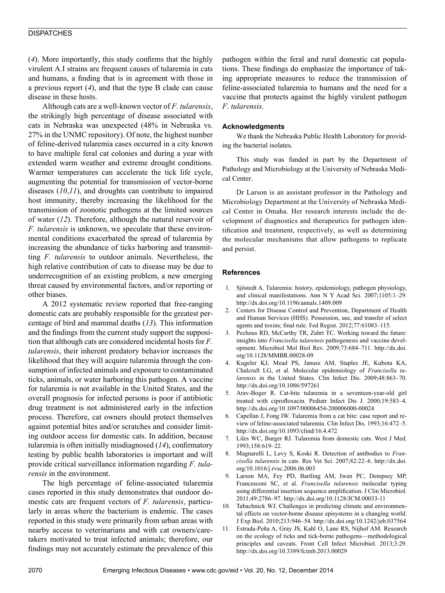#### **DISPATCHES**

(*4*). More importantly, this study confirms that the highly virulent A.I strains are frequent causes of tularemia in cats and humans, a finding that is in agreement with those in a previous report (*4*), and that the type B clade can cause disease in these hosts.

Although cats are a well-known vector of *F. tularensis*, the strikingly high percentage of disease associated with cats in Nebraska was unexpected (48% in Nebraska vs. 27% in the UNMC repository). Of note, the highest number of feline-derived tularemia cases occurred in a city known to have multiple feral cat colonies and during a year with extended warm weather and extreme drought conditions. Warmer temperatures can accelerate the tick life cycle, augmenting the potential for transmission of vector-borne diseases (*10*,*11*), and droughts can contribute to impaired host immunity, thereby increasing the likelihood for the transmission of zoonotic pathogens at the limited sources of water (*12*). Therefore, although the natural reservoir of *F. tularensis* is unknown, we speculate that these environmental conditions exacerbated the spread of tularemia by increasing the abundance of ticks harboring and transmitting *F. tularensis* to outdoor animals. Nevertheless, the high relative contribution of cats to disease may be due to underrecognition of an existing problem, a new emerging threat caused by environmental factors, and/or reporting or other biases.

A 2012 systematic review reported that free-ranging domestic cats are probably responsible for the greatest percentage of bird and mammal deaths (*13*). This information and the findings from the current study support the supposition that although cats are considered incidental hosts for *F. tularensis*, their inherent predatory behavior increases the likelihood that they will acquire tularemia through the consumption of infected animals and exposure to contaminated ticks, animals, or water harboring this pathogen. A vaccine for tularemia is not available in the United States, and the overall prognosis for infected persons is poor if antibiotic drug treatment is not administered early in the infection process. Therefore, cat owners should protect themselves against potential bites and/or scratches and consider limiting outdoor access for domestic cats. In addition, because tularemia is often initially misdiagnosed (*14*), confirmatory testing by public health laboratories is important and will provide critical surveillance information regarding *F. tularensis* in the environment.

The high percentage of feline-associated tularemia cases reported in this study demonstrates that outdoor domestic cats are frequent vectors of *F. tularensis*, particularly in areas where the bacterium is endemic. The cases reported in this study were primarily from urban areas with nearby access to veterinarians and with cat owners/caretakers motivated to treat infected animals; therefore, our findings may not accurately estimate the prevalence of this pathogen within the feral and rural domestic cat populations. These findings do emphasize the importance of taking appropriate measures to reduce the transmission of feline-associated tularemia to humans and the need for a vaccine that protects against the highly virulent pathogen *F. tularensis*.

#### **Acknowledgments**

We thank the Nebraska Public Health Laboratory for providing the bacterial isolates.

This study was funded in part by the Department of Pathology and Microbiology at the University of Nebraska Medical Center.

Dr Larson is an assistant professor in the Pathology and Microbiology Department at the University of Nebraska Medical Center in Omaha. Her research interests include the development of diagnostics and therapeutics for pathogen identification and treatment, respectively, as well as determining the molecular mechanisms that allow pathogens to replicate and persist.

#### **References**

- 1. Sjöstedt A. Tularemia: history, epidemiology, pathogen physiology, and clinical manifestations. Ann N Y Acad Sci. 2007;1105:1–29. http://dx.doi.org/10.1196/annals.1409.009
- 2. Centers for Disease Control and Prevention, Department of Health and Human Services (HHS). Possession, use, and transfer of select agents and toxins; final rule. Fed Regist. 2012;77:61083–115.
- 3. Pechous RD, McCarthy TR, Zahrt TC. Working toward the future: insights into *Francisella tularensis* pathogenesis and vaccine development. Microbiol Mol Biol Rev. 2009;73:684–711. http://dx.doi. org/10.1128/MMBR.00028-09
- 4. Kugeler KJ, Mead PS, Janusz AM, Staples JE, Kubota KA, Chalcraft LG, et al. Molecular epidemiology of *Francisella tularensis* in the United States. Clin Infect Dis. 2009;48:863–70. http://dx.doi.org/10.1086/597261
- 5. Arav-Boger R. Cat-bite tularemia in a seventeen-year-old girl treated with ciprofloxacin. Pediatr Infect Dis J. 2000;19:583–4. http://dx.doi.org/10.1097/00006454-200006000-00024
- 6. Capellan J, Fong IW. Tularemia from a cat bite: case report and review of feline-associated tularemia. Clin Infect Dis. 1993;16:472–5. http://dx.doi.org/10.1093/clind/16.4.472
- 7. Liles WC, Burger RJ. Tularemia from domestic cats. West J Med. 1993;158:619–22.
- 8. Magnarelli L, Levy S, Koski R. Detection of antibodies to *Francisella tularensis* in cats. Res Vet Sci. 2007;82:22–6. http://dx.doi. org/10.1016/j.rvsc.2006.06.003
- Larson MA, Fey PD, Bartling AM, Iwen PC, Dempsey MP, Francesconi SC, et al. *Francisella tularensis* molecular typing using differential insertion sequence amplification. J Clin Microbiol. 2011;49:2786–97. http://dx.doi.org/10.1128/JCM.00033-11
- 10. Tabachnick WJ. Challenges in predicting climate and environmental effects on vector-borne disease episystems in a changing world. J Exp Biol. 2010;213:946–54. http://dx.doi.org/10.1242/jeb.037564
- 11. Estrada-Peña A, Gray JS, Kahl O, Lane RS, Nijhof AM. Research on the ecology of ticks and tick-borne pathogens—methodological principles and caveats. Front Cell Infect Microbiol. 2013;3:29. http://dx.doi.org/10.3389/fcimb.2013.00029